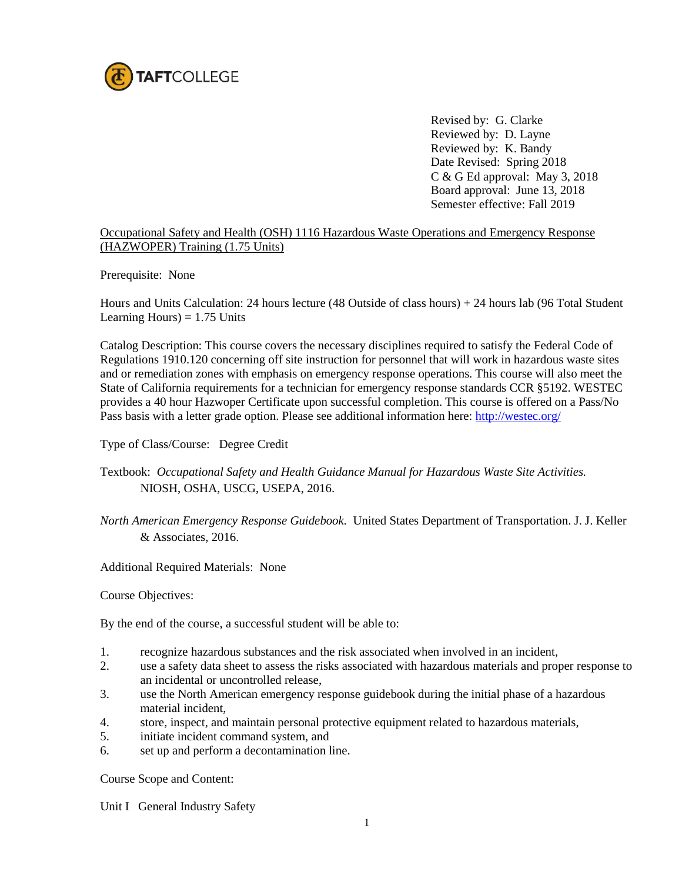

Revised by: G. Clarke Reviewed by: D. Layne Reviewed by: K. Bandy Date Revised: Spring 2018 C & G Ed approval: May 3, 2018 Board approval: June 13, 2018 Semester effective: Fall 2019

## Occupational Safety and Health (OSH) 1116 Hazardous Waste Operations and Emergency Response (HAZWOPER) Training (1.75 Units)

Prerequisite: None

Hours and Units Calculation: 24 hours lecture (48 Outside of class hours) + 24 hours lab (96 Total Student Learning Hours)  $= 1.75$  Units

Catalog Description: This course covers the necessary disciplines required to satisfy the Federal Code of Regulations 1910.120 concerning off site instruction for personnel that will work in hazardous waste sites and or remediation zones with emphasis on emergency response operations. This course will also meet the State of California requirements for a technician for emergency response standards CCR §5192. WESTEC provides a 40 hour Hazwoper Certificate upon successful completion. This course is offered on a Pass/No Pass basis with a letter grade option. Please see additional information here:<http://westec.org/>

Type of Class/Course: Degree Credit

## Textbook: *Occupational Safety and Health Guidance Manual for Hazardous Waste Site Activities.* NIOSH, OSHA, USCG, USEPA, 2016.

*North American Emergency Response Guidebook.* United States Department of Transportation. J. J. Keller & Associates, 2016.

Additional Required Materials: None

Course Objectives:

By the end of the course, a successful student will be able to:

- 1. recognize hazardous substances and the risk associated when involved in an incident,
- 2. use a safety data sheet to assess the risks associated with hazardous materials and proper response to an incidental or uncontrolled release,
- 3. use the North American emergency response guidebook during the initial phase of a hazardous material incident,
- 4. store, inspect, and maintain personal protective equipment related to hazardous materials,
- 5. initiate incident command system, and
- 6. set up and perform a decontamination line.

Course Scope and Content:

Unit I General Industry Safety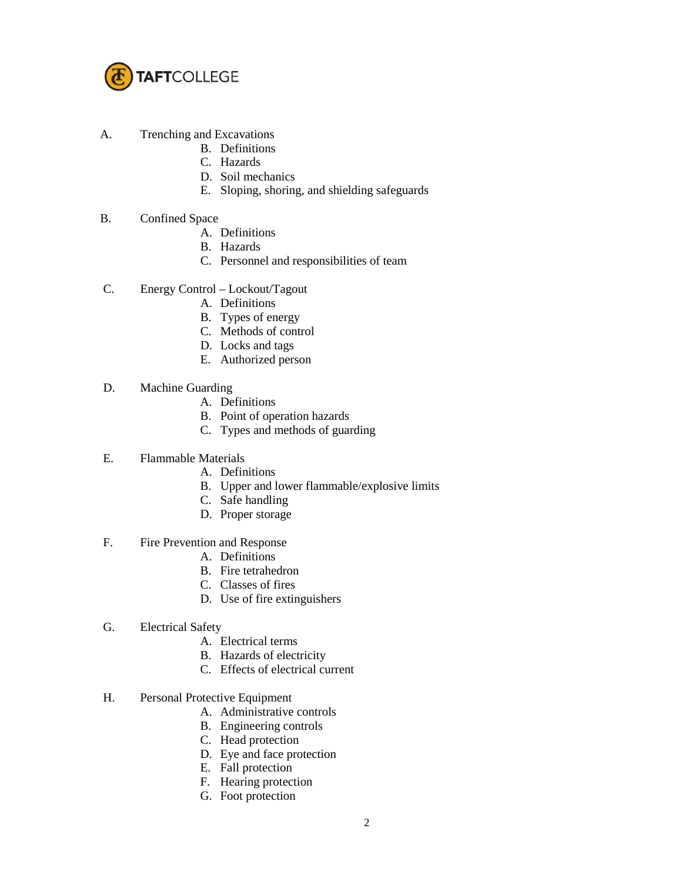

- A. Trenching and Excavations
	- B. Definitions
	- C. Hazards
	- D. Soil mechanics
	- E. Sloping, shoring, and shielding safeguards
- B. Confined Space
	- A. Definitions
	- B. Hazards
	- C. Personnel and responsibilities of team
- C. Energy Control Lockout/Tagout
	- A. Definitions
	- B. Types of energy
	- C. Methods of control
	- D. Locks and tags
	- E. Authorized person
- D. Machine Guarding
	- A. Definitions
	- B. Point of operation hazards
	- C. Types and methods of guarding
- E. Flammable Materials
	- A. Definitions
	- B. Upper and lower flammable/explosive limits
	- C. Safe handling
	- D. Proper storage
- F. Fire Prevention and Response
	- A. Definitions
	- B. Fire tetrahedron
	- C. Classes of fires
	- D. Use of fire extinguishers
- G. Electrical Safety
	- A. Electrical terms
	- B. Hazards of electricity
	- C. Effects of electrical current
- H. Personal Protective Equipment
	- A. Administrative controls
	- B. Engineering controls
	- C. Head protection
	- D. Eye and face protection
	- E. Fall protection
	- F. Hearing protection
	- G. Foot protection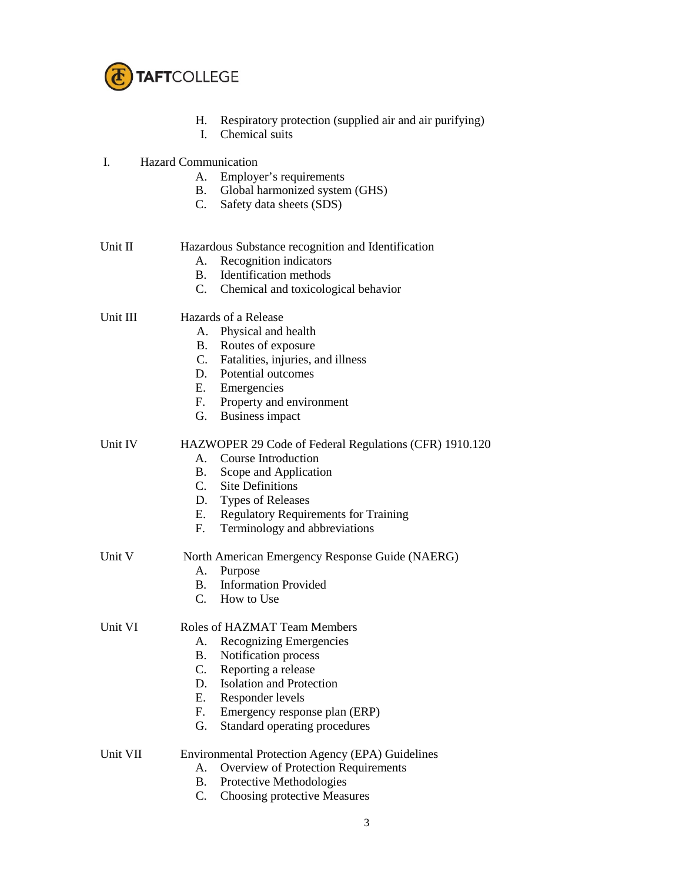

- H. Respiratory protection (supplied air and air purifying)
- I. Chemical suits
- I. Hazard Communication
	- A. Employer's requirements
	- B. Global harmonized system (GHS)
	- C. Safety data sheets (SDS)
- Unit II Hazardous Substance recognition and Identification
	- A. Recognition indicators
	- B. Identification methods
	- C. Chemical and toxicological behavior

Unit III Hazards of a Release

- A. Physical and health
- B. Routes of exposure
- C. Fatalities, injuries, and illness
- D. Potential outcomes
- E. Emergencies
- F. Property and environment
- G. Business impact

Unit IV HAZWOPER 29 Code of Federal Regulations (CFR) 1910.120

- A. Course Introduction
- B. Scope and Application
- C. Site Definitions
- D. Types of Releases
- E. Regulatory Requirements for Training
- F. Terminology and abbreviations

Unit V North American Emergency Response Guide (NAERG)

- A. Purpose
- B. Information Provided
- C. How to Use

Unit VI Roles of HAZMAT Team Members

- A. Recognizing Emergencies
- B. Notification process
- C. Reporting a release
- D. Isolation and Protection
- E. Responder levels
- F. Emergency response plan (ERP)
- G. Standard operating procedures
- Unit VII Environmental Protection Agency (EPA) Guidelines
	- A. Overview of Protection Requirements
	- B. Protective Methodologies
	- C. Choosing protective Measures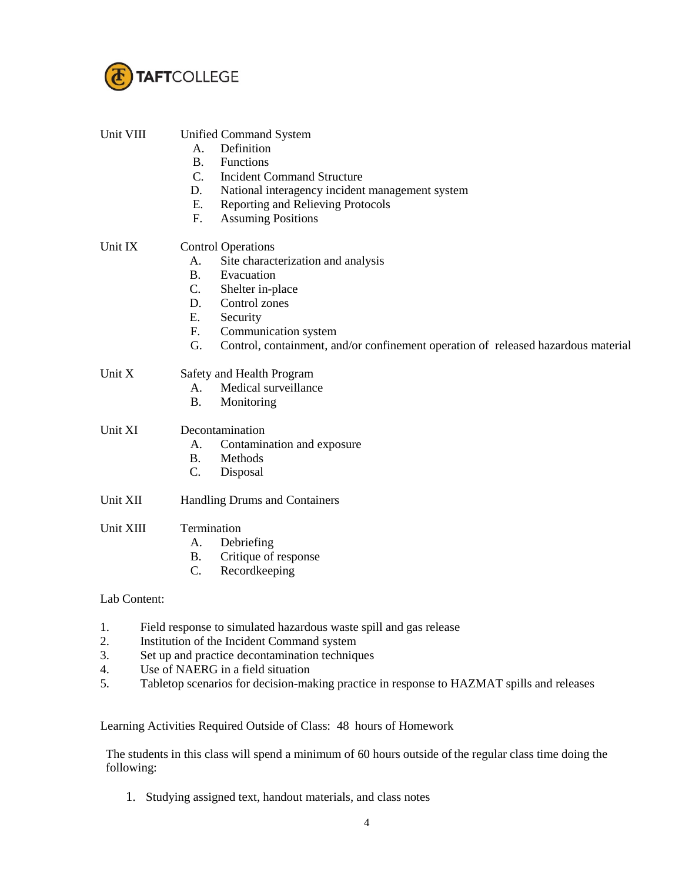

| Unit VIII | <b>Unified Command System</b><br>Definition<br>$A_{\cdot}$<br><b>B.</b><br>Functions<br>$C_{\cdot}$<br><b>Incident Command Structure</b><br>D.<br>National interagency incident management system<br>E.<br>Reporting and Relieving Protocols<br>F.<br><b>Assuming Positions</b>                            |
|-----------|------------------------------------------------------------------------------------------------------------------------------------------------------------------------------------------------------------------------------------------------------------------------------------------------------------|
| Unit IX   | <b>Control Operations</b><br>Site characterization and analysis<br>A.<br>B <sub>r</sub><br>Evacuation<br>$C_{\cdot}$<br>Shelter in-place<br>Control zones<br>D.<br>E.<br>Security<br>Communication system<br>F.<br>G.<br>Control, containment, and/or confinement operation of released hazardous material |
| Unit X    | Safety and Health Program<br>Medical surveillance<br>А.<br><b>B.</b><br>Monitoring                                                                                                                                                                                                                         |
| Unit XI   | Decontamination<br>A.<br>Contamination and exposure<br><b>B.</b><br>Methods<br>C.<br>Disposal                                                                                                                                                                                                              |
| Unit XII  | Handling Drums and Containers                                                                                                                                                                                                                                                                              |
| Unit XIII | Termination<br>Debriefing<br>A.<br>Critique of response<br><b>B.</b><br>C.<br>Recordkeeping                                                                                                                                                                                                                |

## Lab Content:

- 1. Field response to simulated hazardous waste spill and gas release
- 2. Institution of the Incident Command system
- 3. Set up and practice decontamination techniques
- 4. Use of NAERG in a field situation
- 5. Tabletop scenarios for decision-making practice in response to HAZMAT spills and releases

Learning Activities Required Outside of Class: 48 hours of Homework

The students in this class will spend a minimum of 60 hours outside of the regular class time doing the following:

1. Studying assigned text, handout materials, and class notes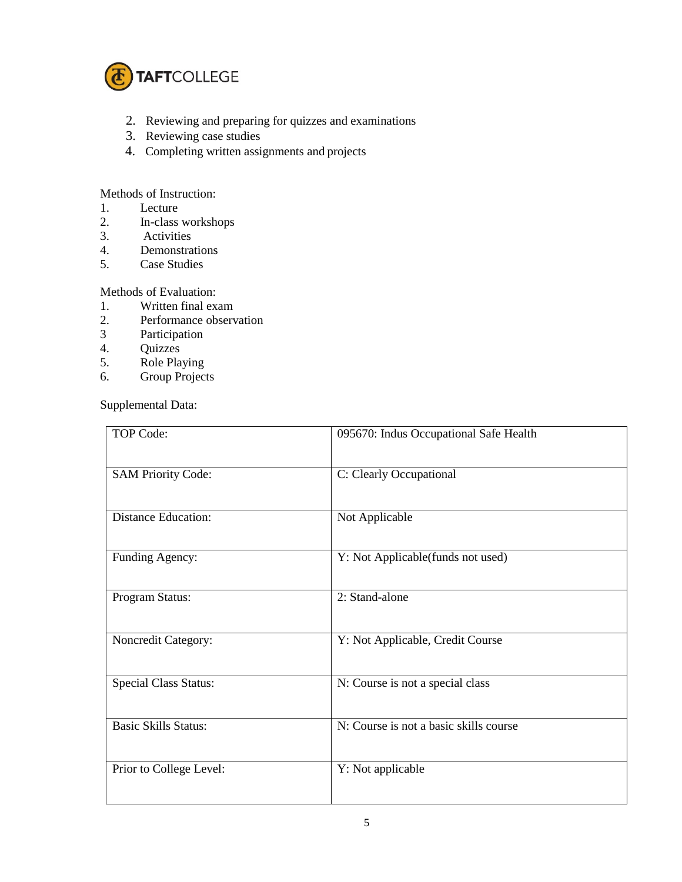

- 2. Reviewing and preparing for quizzes and examinations
- 3. Reviewing case studies
- 4. Completing written assignments and projects

Methods of Instruction:

- 1. Lecture<br>2. In-class
- In-class workshops
- 3. Activities
- 4. Demonstrations<br>5. Case Studies
- Case Studies

Methods of Evaluation:

- 1. Written final exam<br>2. Performance observed
- 2. Performance observation<br>3 Participation
- Participation
- 4. Quizzes
- 5. Role Playing
- 6. Group Projects

Supplemental Data:

| TOP Code:                    | 095670: Indus Occupational Safe Health |
|------------------------------|----------------------------------------|
| <b>SAM Priority Code:</b>    | C: Clearly Occupational                |
| <b>Distance Education:</b>   | Not Applicable                         |
| Funding Agency:              | Y: Not Applicable(funds not used)      |
| Program Status:              | 2: Stand-alone                         |
| Noncredit Category:          | Y: Not Applicable, Credit Course       |
| <b>Special Class Status:</b> | N: Course is not a special class       |
| <b>Basic Skills Status:</b>  | N: Course is not a basic skills course |
| Prior to College Level:      | Y: Not applicable                      |